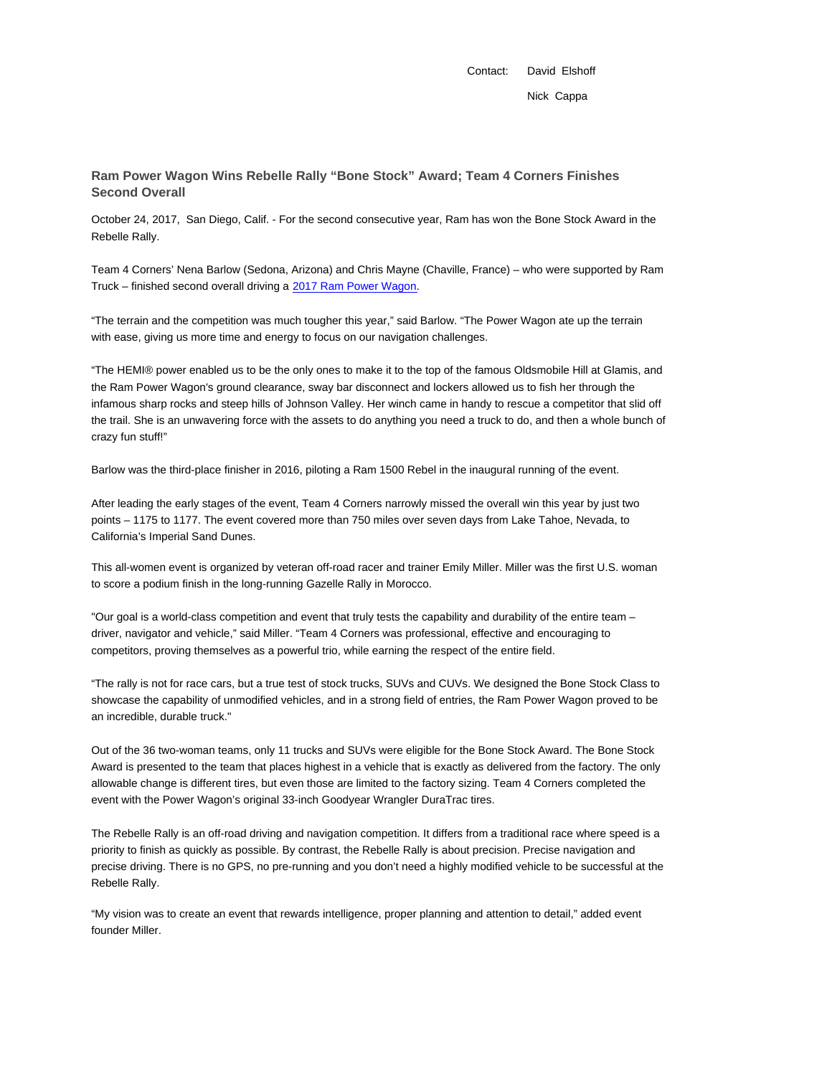Contact: David Elshoff Nick Cappa

**Ram Power Wagon Wins Rebelle Rally "Bone Stock" Award; Team 4 Corners Finishes Second Overall**

October 24, 2017, San Diego, Calif. - For the second consecutive year, Ram has won the Bone Stock Award in the Rebelle Rally.

Team 4 Corners' Nena Barlow (Sedona, Arizona) and Chris Mayne (Chaville, France) – who were supported by Ram Truck – finished second overall driving a 2017 Ram Power Wagon.

"The terrain and the competition was much tougher this year," said Barlow. "The Power Wagon ate up the terrain with ease, giving us more time and energy to focus on our navigation challenges.

"The HEMI® power enabled us to be the only ones to make it to the top of the famous Oldsmobile Hill at Glamis, and the Ram Power Wagon's ground clearance, sway bar disconnect and lockers allowed us to fish her through the infamous sharp rocks and steep hills of Johnson Valley. Her winch came in handy to rescue a competitor that slid off the trail. She is an unwavering force with the assets to do anything you need a truck to do, and then a whole bunch of crazy fun stuff!"

Barlow was the third-place finisher in 2016, piloting a Ram 1500 Rebel in the inaugural running of the event.

After leading the early stages of the event, Team 4 Corners narrowly missed the overall win this year by just two points – 1175 to 1177. The event covered more than 750 miles over seven days from Lake Tahoe, Nevada, to California's Imperial Sand Dunes.

This all-women event is organized by veteran off-road racer and trainer Emily Miller. Miller was the first U.S. woman to score a podium finish in the long-running Gazelle Rally in Morocco.

"Our goal is a world-class competition and event that truly tests the capability and durability of the entire team – driver, navigator and vehicle," said Miller. "Team 4 Corners was professional, effective and encouraging to competitors, proving themselves as a powerful trio, while earning the respect of the entire field.

"The rally is not for race cars, but a true test of stock trucks, SUVs and CUVs. We designed the Bone Stock Class to showcase the capability of unmodified vehicles, and in a strong field of entries, the Ram Power Wagon proved to be an incredible, durable truck."

Out of the 36 two-woman teams, only 11 trucks and SUVs were eligible for the Bone Stock Award. The Bone Stock Award is presented to the team that places highest in a vehicle that is exactly as delivered from the factory. The only allowable change is different tires, but even those are limited to the factory sizing. Team 4 Corners completed the event with the Power Wagon's original 33-inch Goodyear Wrangler DuraTrac tires.

The Rebelle Rally is an off-road driving and navigation competition. It differs from a traditional race where speed is a priority to finish as quickly as possible. By contrast, the Rebelle Rally is about precision. Precise navigation and precise driving. There is no GPS, no pre-running and you don't need a highly modified vehicle to be successful at the Rebelle Rally.

"My vision was to create an event that rewards intelligence, proper planning and attention to detail," added event founder Miller.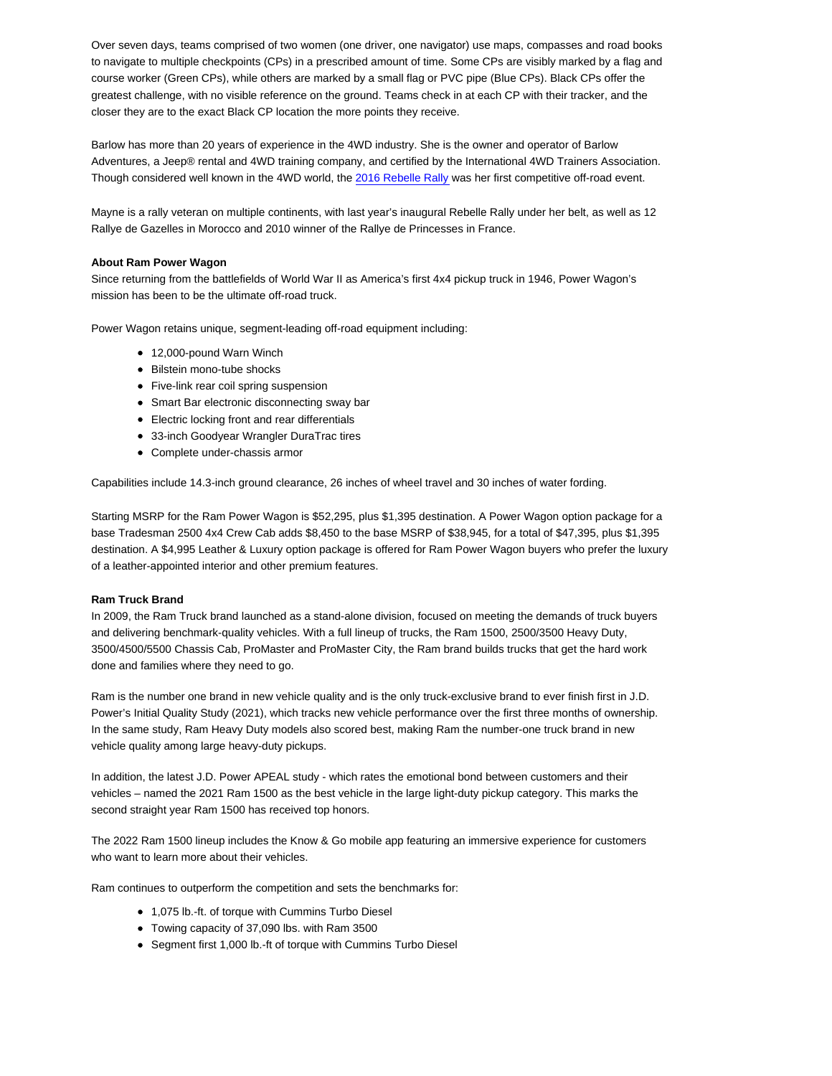Over seven days, teams comprised of two women (one driver, one navigator) use maps, compasses and road books to navigate to multiple checkpoints (CPs) in a prescribed amount of time. Some CPs are visibly marked by a flag and course worker (Green CPs), while others are marked by a small flag or PVC pipe (Blue CPs). Black CPs offer the greatest challenge, with no visible reference on the ground. Teams check in at each CP with their tracker, and the closer they are to the exact Black CP location the more points they receive.

Barlow has more than 20 years of experience in the 4WD industry. She is the owner and operator of Barlow Adventures, a Jeep® rental and 4WD training company, and certified by the International 4WD Trainers Association. Though considered well known in the 4WD world, the 2016 Rebelle Rally was her first competitive off-road event.

Mayne is a rally veteran on multiple continents, with last year's inaugural Rebelle Rally under her belt, as well as 12 Rallye de Gazelles in Morocco and 2010 winner of the Rallye de Princesses in France.

## **About Ram Power Wagon**

Since returning from the battlefields of World War II as America's first 4x4 pickup truck in 1946, Power Wagon's mission has been to be the ultimate off-road truck.

Power Wagon retains unique, segment-leading off-road equipment including:

- 12,000-pound Warn Winch
- Bilstein mono-tube shocks
- Five-link rear coil spring suspension
- Smart Bar electronic disconnecting sway bar
- Electric locking front and rear differentials
- 33-inch Goodyear Wrangler DuraTrac tires
- Complete under-chassis armor

Capabilities include 14.3-inch ground clearance, 26 inches of wheel travel and 30 inches of water fording.

Starting MSRP for the Ram Power Wagon is \$52,295, plus \$1,395 destination. A Power Wagon option package for a base Tradesman 2500 4x4 Crew Cab adds \$8,450 to the base MSRP of \$38,945, for a total of \$47,395, plus \$1,395 destination. A \$4,995 Leather & Luxury option package is offered for Ram Power Wagon buyers who prefer the luxury of a leather-appointed interior and other premium features.

## **Ram Truck Brand**

In 2009, the Ram Truck brand launched as a stand-alone division, focused on meeting the demands of truck buyers and delivering benchmark-quality vehicles. With a full lineup of trucks, the Ram 1500, 2500/3500 Heavy Duty, 3500/4500/5500 Chassis Cab, ProMaster and ProMaster City, the Ram brand builds trucks that get the hard work done and families where they need to go.

Ram is the number one brand in new vehicle quality and is the only truck-exclusive brand to ever finish first in J.D. Power's Initial Quality Study (2021), which tracks new vehicle performance over the first three months of ownership. In the same study, Ram Heavy Duty models also scored best, making Ram the number-one truck brand in new vehicle quality among large heavy-duty pickups.

In addition, the latest J.D. Power APEAL study - which rates the emotional bond between customers and their vehicles – named the 2021 Ram 1500 as the best vehicle in the large light-duty pickup category. This marks the second straight year Ram 1500 has received top honors.

The 2022 Ram 1500 lineup includes the Know & Go mobile app featuring an immersive experience for customers who want to learn more about their vehicles.

Ram continues to outperform the competition and sets the benchmarks for:

- 1,075 lb.-ft. of torque with Cummins Turbo Diesel
- Towing capacity of 37,090 lbs. with Ram 3500
- Segment first 1,000 lb.-ft of torque with Cummins Turbo Diesel